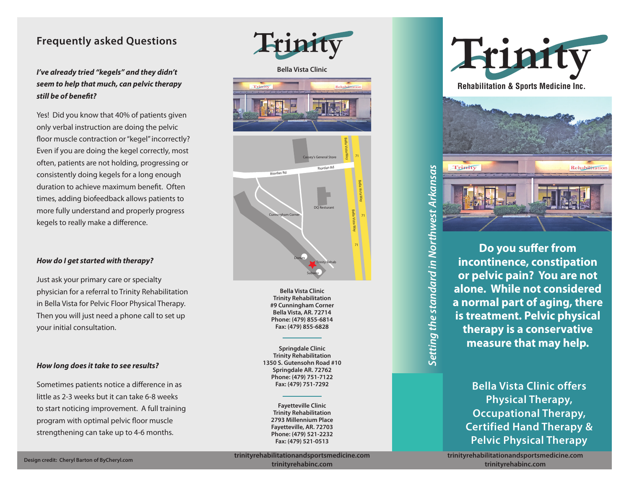# **Frequently asked Questions**

*I've already tried "kegels" and they didn't seem to help that much, can pelvic therapy still be of benefit?* 

Yes! Did you know that 40% of patients given only verbal instruction are doing the pelvic floor muscle contraction or "kegel" incorrectly? Even if you are doing the kegel correctly, most often, patients are not holding, progressing or consistently doing kegels for a long enough duration to achieve maximum benefit. Often times, adding biofeedback allows patients to more fully understand and properly progress kegels to really make a difference.

#### *How do I get started with therapy?*

Just ask your primary care or specialty physician for a referral to Trinity Rehabilitation in Bella Vista for Pelvic Floor Physical Therapy. Then you will just need a phone call to set up your initial consultation.

#### *How long does it take to see results?*

Sometimes patients notice a difference in as little as 2-3 weeks but it can take 6-8 weeks to start noticing improvement. A full training program with optimal pelvic floor muscle strengthening can take up to 4-6 months.

**Trinity**





**Bella Vista Clinic Trinity Rehabilitation #9 Cunningham Corner Bella Vista, AR. 72714 Phone: (479) 855-6814 Fax: (479) 855-6828** 

**Springdale Clinic Trinity Rehabilitation 1350 S. Gutensohn Road #10 Springdale AR. 72762 Phone: (479) 751-7122 Fax: (479) 751-7292**

**Fayetteville Clinic Trinity Rehabilitation 2793 Millennium Place Fayetteville, AR. 72703 Phone: (479) 521-2232 Fax: (479) 521-0513**

**trinityrehabilitationandsportsmedicine.com trinityrehabinc.com**



**Rehabilitation & Sports Medicine Inc.**



**Do you suffer from incontinence, constipation or pelvic pain? You are not alone. While not considered a normal part of aging, there is treatment. Pelvic physical therapy is a conservative measure that may help.**

**Bella Vista Clinic offers Physical Therapy, Occupational Therapy, Certified Hand Therapy & Pelvic Physical Therapy**

**trinityrehabilitationandsportsmedicine.com trinityrehabinc.com**